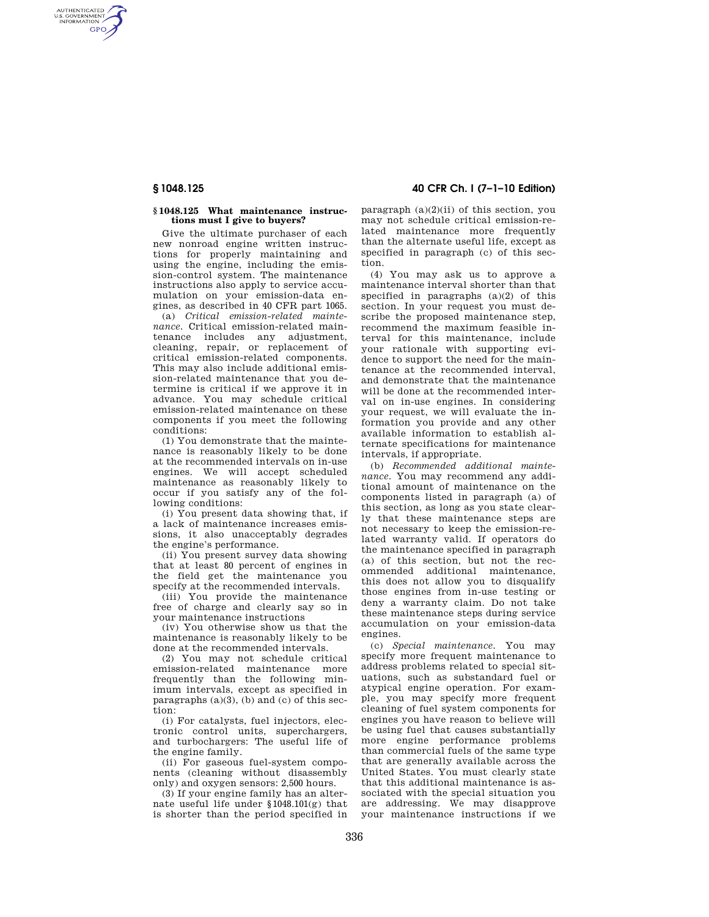AUTHENTICATED<br>U.S. GOVERNMENT<br>INFORMATION **GPO** 

## **§ 1048.125 What maintenance instructions must I give to buyers?**

Give the ultimate purchaser of each new nonroad engine written instructions for properly maintaining and using the engine, including the emission-control system. The maintenance instructions also apply to service accumulation on your emission-data engines, as described in 40 CFR part 1065.

(a) *Critical emission-related maintenance.* Critical emission-related maintenance includes any adjustment, cleaning, repair, or replacement of critical emission-related components. This may also include additional emission-related maintenance that you determine is critical if we approve it in advance. You may schedule critical emission-related maintenance on these components if you meet the following conditions:

(1) You demonstrate that the maintenance is reasonably likely to be done at the recommended intervals on in-use engines. We will accept scheduled maintenance as reasonably likely to occur if you satisfy any of the following conditions:

(i) You present data showing that, if a lack of maintenance increases emissions, it also unacceptably degrades the engine's performance.

(ii) You present survey data showing that at least 80 percent of engines in the field get the maintenance you specify at the recommended intervals.

(iii) You provide the maintenance free of charge and clearly say so in your maintenance instructions

(iv) You otherwise show us that the maintenance is reasonably likely to be done at the recommended intervals.

(2) You may not schedule critical emission-related maintenance more frequently than the following minimum intervals, except as specified in paragraphs  $(a)(3)$ ,  $(b)$  and  $(c)$  of this section:

(i) For catalysts, fuel injectors, electronic control units, superchargers, and turbochargers: The useful life of the engine family.

(ii) For gaseous fuel-system components (cleaning without disassembly only) and oxygen sensors: 2,500 hours.

(3) If your engine family has an alternate useful life under §1048.101(g) that is shorter than the period specified in

**§ 1048.125 40 CFR Ch. I (7–1–10 Edition)** 

paragraph  $(a)(2)(ii)$  of this section, you may not schedule critical emission-related maintenance more frequently than the alternate useful life, except as specified in paragraph (c) of this section.

(4) You may ask us to approve a maintenance interval shorter than that specified in paragraphs  $(a)(2)$  of this section. In your request you must describe the proposed maintenance step, recommend the maximum feasible interval for this maintenance, include your rationale with supporting evidence to support the need for the maintenance at the recommended interval, and demonstrate that the maintenance will be done at the recommended interval on in-use engines. In considering your request, we will evaluate the information you provide and any other available information to establish alternate specifications for maintenance intervals, if appropriate.

(b) *Recommended additional maintenance.* You may recommend any additional amount of maintenance on the components listed in paragraph (a) of this section, as long as you state clearly that these maintenance steps are not necessary to keep the emission-related warranty valid. If operators do the maintenance specified in paragraph (a) of this section, but not the recommended additional maintenance, this does not allow you to disqualify those engines from in-use testing or deny a warranty claim. Do not take these maintenance steps during service accumulation on your emission-data engines.

(c) *Special maintenance.* You may specify more frequent maintenance to address problems related to special situations, such as substandard fuel or atypical engine operation. For example, you may specify more frequent cleaning of fuel system components for engines you have reason to believe will be using fuel that causes substantially more engine performance problems than commercial fuels of the same type that are generally available across the United States. You must clearly state that this additional maintenance is associated with the special situation you are addressing. We may disapprove your maintenance instructions if we